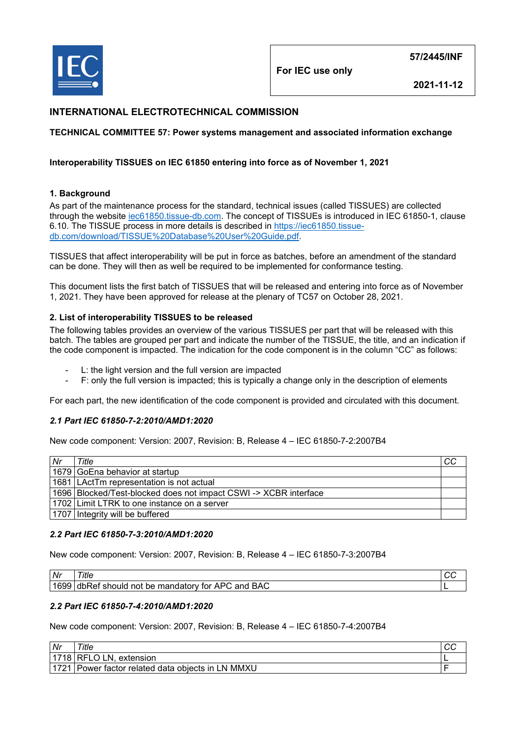

**For IEC use only**

**2021-11-12**

# **INTERNATIONAL ELECTROTECHNICAL COMMISSION**

## **TECHNICAL COMMITTEE 57: Power systems management and associated information exchange**

### **Interoperability TISSUES on IEC 61850 entering into force as of November 1, 2021**

### **1. Background**

As part of the maintenance process for the standard, technical issues (called TISSUES) are collected through the website [iec61850.tissue-db.com.](https://iec61850.tissue-db.com/) The concept of TISSUEs is introduced in IEC 61850-1, clause 6.10. The TISSUE process in more details is described in [https://iec61850.tissue](https://iec61850.tissue-db.com/download/TISSUE%20Database%20User%20Guide.pdf)[db.com/download/TISSUE%20Database%20User%20Guide.pdf.](https://iec61850.tissue-db.com/download/TISSUE%20Database%20User%20Guide.pdf)

TISSUES that affect interoperability will be put in force as batches, before an amendment of the standard can be done. They will then as well be required to be implemented for conformance testing.

This document lists the first batch of TISSUES that will be released and entering into force as of November 1, 2021. They have been approved for release at the plenary of TC57 on October 28, 2021.

### **2. List of interoperability TISSUES to be released**

The following tables provides an overview of the various TISSUES per part that will be released with this batch. The tables are grouped per part and indicate the number of the TISSUE, the title, and an indication if the code component is impacted. The indication for the code component is in the column "CC" as follows:

- L: the light version and the full version are impacted
- F: only the full version is impacted; this is typically a change only in the description of elements

For each part, the new identification of the code component is provided and circulated with this document.

## *2.1 Part IEC 61850-7-2:2010/AMD1:2020*

New code component: Version: 2007, Revision: B, Release 4 – IEC 61850-7-2:2007B4

| Nr | Title                                                              | CС |
|----|--------------------------------------------------------------------|----|
|    | 1679 GoEna behavior at startup                                     |    |
|    | 1681   LActTm representation is not actual                         |    |
|    | 1696   Blocked/Test-blocked does not impact CSWI -> XCBR interface |    |
|    | 1702 Limit LTRK to one instance on a server                        |    |
|    | 1707 Integrity will be buffered                                    |    |

#### *2.2 Part IEC 61850-7-3:2010/AMD1:2020*

New code component: Version: 2007, Revision: B, Release 4 – IEC 61850-7-3:2007B4

| Nr              | 'itle                                                                                                    |  |
|-----------------|----------------------------------------------------------------------------------------------------------|--|
| .4 <sub>6</sub> | <b>APC</b><br>BAC<br>and.<br>$\mathsf{L}$ mandatory $\mathsf{L}$<br>tor<br>dbRef<br>should<br>not<br>ne. |  |

## *2.2 Part IEC 61850-7-4:2010/AMD1:2020*

New code component: Version: 2007, Revision: B, Release 4 – IEC 61850-7-4:2007B4

| Nr   | Title                                        | ∵ ∪ |
|------|----------------------------------------------|-----|
| 1718 | LN.<br><b>RFLO</b><br>extension              |     |
| 1701 | Power factor related data objects in LN MMXU |     |